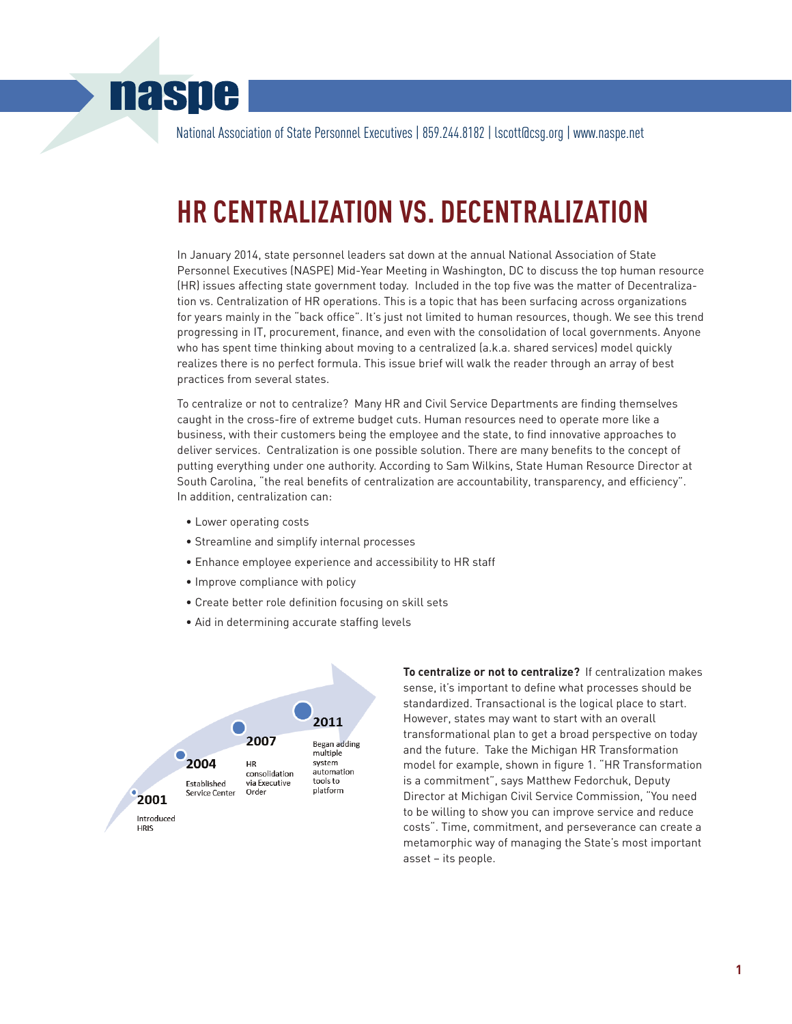# **naspe**

National Association of State Personnel Executives | 859.244.8182 | lscott@csg.org | www.naspe.net

# **HR CENTRALIZATION VS. DECENTRALIZATION**

In January 2014, state personnel leaders sat down at the annual National Association of State Personnel Executives (NASPE) Mid-Year Meeting in Washington, DC to discuss the top human resource (HR) issues affecting state government today. Included in the top five was the matter of Decentralization vs. Centralization of HR operations. This is a topic that has been surfacing across organizations for years mainly in the "back office". It's just not limited to human resources, though. We see this trend progressing in IT, procurement, finance, and even with the consolidation of local governments. Anyone who has spent time thinking about moving to a centralized (a.k.a. shared services) model quickly realizes there is no perfect formula. This issue brief will walk the reader through an array of best practices from several states.

To centralize or not to centralize? Many HR and Civil Service Departments are finding themselves caught in the cross-fire of extreme budget cuts. Human resources need to operate more like a business, with their customers being the employee and the state, to find innovative approaches to deliver services. Centralization is one possible solution. There are many benefits to the concept of putting everything under one authority. According to Sam Wilkins, State Human Resource Director at South Carolina, "the real benefits of centralization are accountability, transparency, and efficiency". In addition, centralization can:

- Lower operating costs
- Streamline and simplify internal processes
- Enhance employee experience and accessibility to HR staff
- Improve compliance with policy
- Create better role definition focusing on skill sets
- Aid in determining accurate staffing levels



**To centralize or not to centralize?** If centralization makes sense, it's important to define what processes should be standardized. Transactional is the logical place to start. However, states may want to start with an overall transformational plan to get a broad perspective on today and the future. Take the Michigan HR Transformation model for example, shown in figure 1. "HR Transformation is a commitment", says Matthew Fedorchuk, Deputy Director at Michigan Civil Service Commission, "You need to be willing to show you can improve service and reduce costs". Time, commitment, and perseverance can create a metamorphic way of managing the State's most important asset – its people.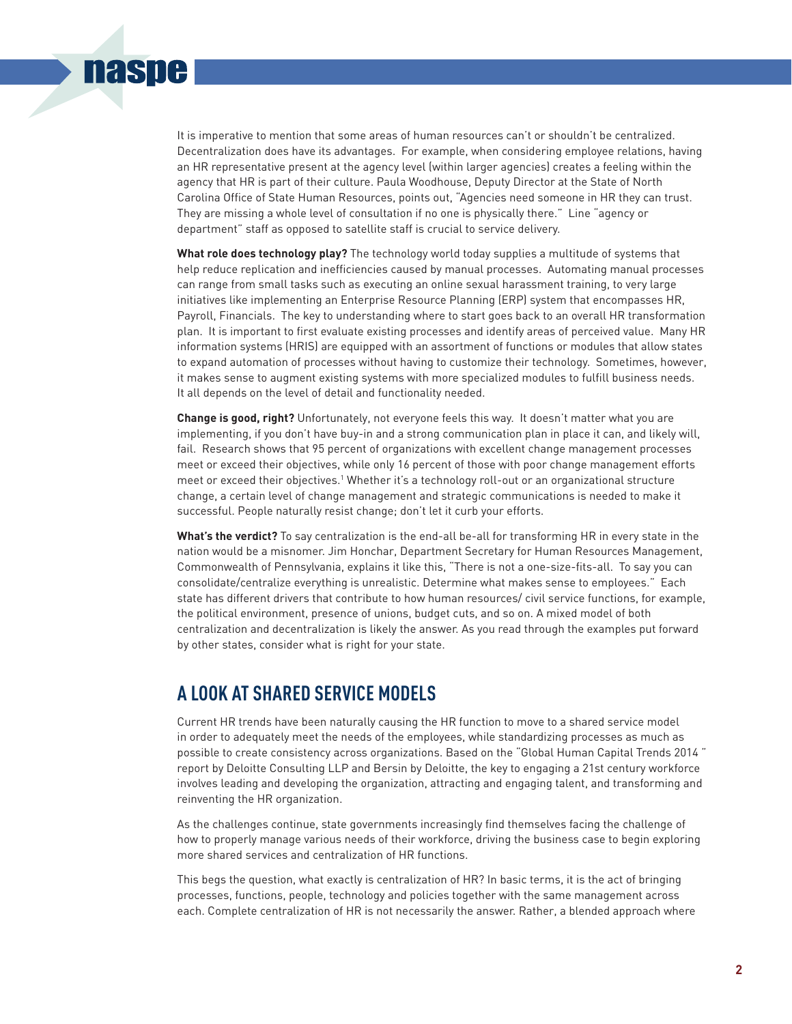

It is imperative to mention that some areas of human resources can't or shouldn't be centralized. Decentralization does have its advantages. For example, when considering employee relations, having an HR representative present at the agency level (within larger agencies) creates a feeling within the agency that HR is part of their culture. Paula Woodhouse, Deputy Director at the State of North Carolina Office of State Human Resources, points out, "Agencies need someone in HR they can trust. They are missing a whole level of consultation if no one is physically there." Line "agency or department" staff as opposed to satellite staff is crucial to service delivery.

**What role does technology play?** The technology world today supplies a multitude of systems that help reduce replication and inefficiencies caused by manual processes. Automating manual processes can range from small tasks such as executing an online sexual harassment training, to very large initiatives like implementing an Enterprise Resource Planning (ERP) system that encompasses HR, Payroll, Financials. The key to understanding where to start goes back to an overall HR transformation plan. It is important to first evaluate existing processes and identify areas of perceived value. Many HR information systems (HRIS) are equipped with an assortment of functions or modules that allow states to expand automation of processes without having to customize their technology. Sometimes, however, it makes sense to augment existing systems with more specialized modules to fulfill business needs. It all depends on the level of detail and functionality needed.

**Change is good, right?** Unfortunately, not everyone feels this way. It doesn't matter what you are implementing, if you don't have buy-in and a strong communication plan in place it can, and likely will, fail. Research shows that 95 percent of organizations with excellent change management processes meet or exceed their objectives, while only 16 percent of those with poor change management efforts meet or exceed their objectives.1 Whether it's a technology roll-out or an organizational structure change, a certain level of change management and strategic communications is needed to make it successful. People naturally resist change; don't let it curb your efforts.

**What's the verdict?** To say centralization is the end-all be-all for transforming HR in every state in the nation would be a misnomer. Jim Honchar, Department Secretary for Human Resources Management, Commonwealth of Pennsylvania, explains it like this, "There is not a one-size-fits-all. To say you can consolidate/centralize everything is unrealistic. Determine what makes sense to employees." Each state has different drivers that contribute to how human resources/ civil service functions, for example, the political environment, presence of unions, budget cuts, and so on. A mixed model of both centralization and decentralization is likely the answer. As you read through the examples put forward by other states, consider what is right for your state.

## **A LOOK AT SHARED SERVICE MODELS**

Current HR trends have been naturally causing the HR function to move to a shared service model in order to adequately meet the needs of the employees, while standardizing processes as much as possible to create consistency across organizations. Based on the "Global Human Capital Trends 2014 " report by Deloitte Consulting LLP and Bersin by Deloitte, the key to engaging a 21st century workforce involves leading and developing the organization, attracting and engaging talent, and transforming and reinventing the HR organization.

As the challenges continue, state governments increasingly find themselves facing the challenge of how to properly manage various needs of their workforce, driving the business case to begin exploring more shared services and centralization of HR functions.

This begs the question, what exactly is centralization of HR? In basic terms, it is the act of bringing processes, functions, people, technology and policies together with the same management across each. Complete centralization of HR is not necessarily the answer. Rather, a blended approach where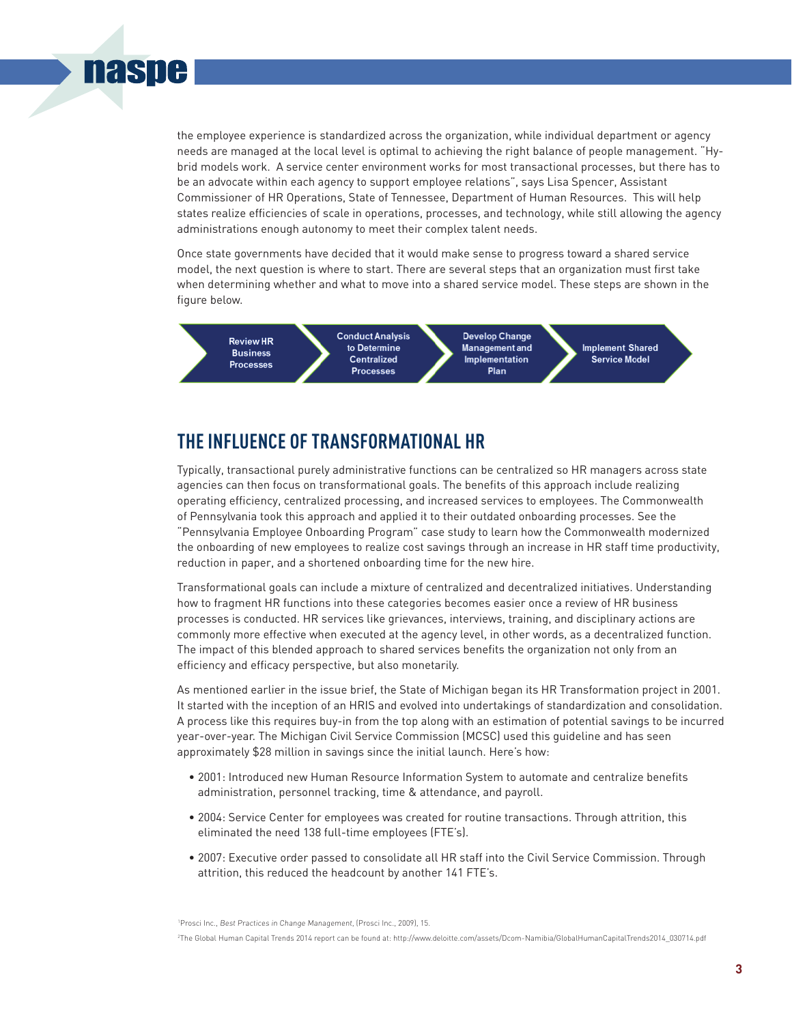

the employee experience is standardized across the organization, while individual department or agency needs are managed at the local level is optimal to achieving the right balance of people management. "Hybrid models work. A service center environment works for most transactional processes, but there has to be an advocate within each agency to support employee relations", says Lisa Spencer, Assistant Commissioner of HR Operations, State of Tennessee, Department of Human Resources. This will help states realize efficiencies of scale in operations, processes, and technology, while still allowing the agency administrations enough autonomy to meet their complex talent needs.

Once state governments have decided that it would make sense to progress toward a shared service model, the next question is where to start. There are several steps that an organization must first take when determining whether and what to move into a shared service model. These steps are shown in the figure below.



# **THE INFLUENCE OF TRANSFORMATIONAL HR**

Typically, transactional purely administrative functions can be centralized so HR managers across state agencies can then focus on transformational goals. The benefits of this approach include realizing operating efficiency, centralized processing, and increased services to employees. The Commonwealth of Pennsylvania took this approach and applied it to their outdated onboarding processes. See the "Pennsylvania Employee Onboarding Program" case study to learn how the Commonwealth modernized the onboarding of new employees to realize cost savings through an increase in HR staff time productivity, reduction in paper, and a shortened onboarding time for the new hire.

Transformational goals can include a mixture of centralized and decentralized initiatives. Understanding how to fragment HR functions into these categories becomes easier once a review of HR business processes is conducted. HR services like grievances, interviews, training, and disciplinary actions are commonly more effective when executed at the agency level, in other words, as a decentralized function. The impact of this blended approach to shared services benefits the organization not only from an efficiency and efficacy perspective, but also monetarily.

As mentioned earlier in the issue brief, the State of Michigan began its HR Transformation project in 2001. It started with the inception of an HRIS and evolved into undertakings of standardization and consolidation. A process like this requires buy-in from the top along with an estimation of potential savings to be incurred year-over-year. The Michigan Civil Service Commission (MCSC) used this guideline and has seen approximately \$28 million in savings since the initial launch. Here's how:

- 2001: Introduced new Human Resource Information System to automate and centralize benefits administration, personnel tracking, time & attendance, and payroll.
- 2004: Service Center for employees was created for routine transactions. Through attrition, this eliminated the need 138 full-time employees (FTE's).
- 2007: Executive order passed to consolidate all HR staff into the Civil Service Commission. Through attrition, this reduced the headcount by another 141 FTE's.

<sup>1</sup>Prosci Inc., Best Practices in Change Management, (Prosci Inc., 2009), 15. <sup>2</sup>The Global Human Capital Trends 2014 report can be found at: http://www.deloitte.com/assets/Dcom-Namibia/GlobalHumanCapitalTrends2014\_030714.pdf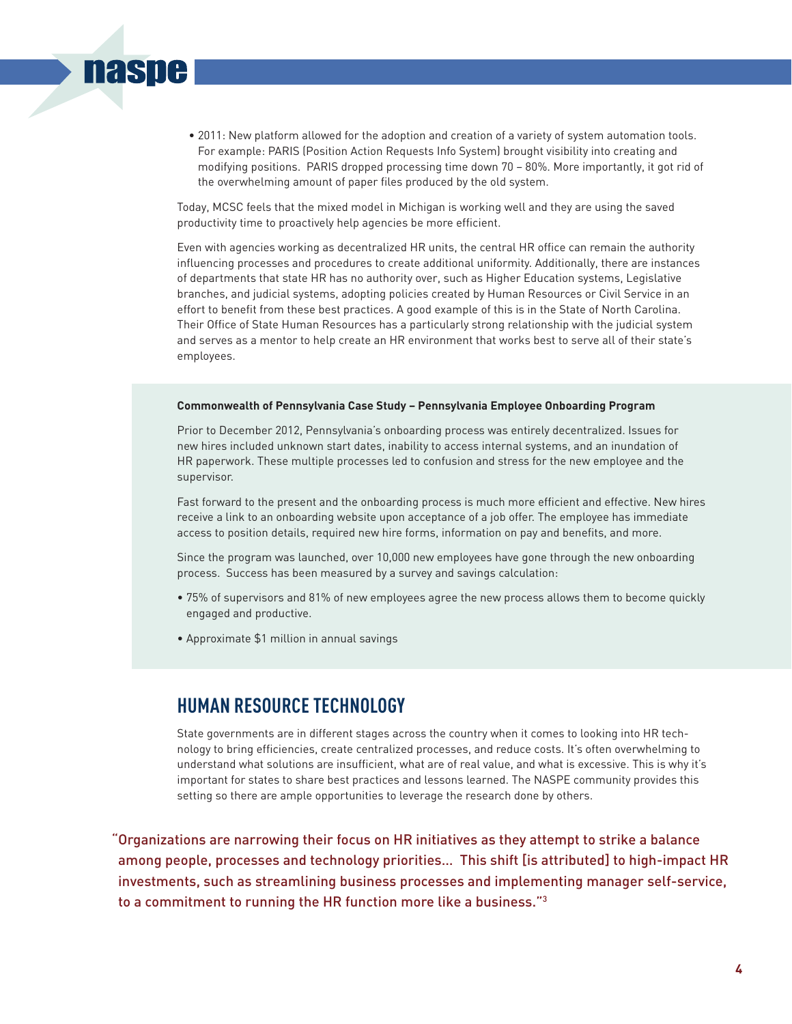• 2011: New platform allowed for the adoption and creation of a variety of system automation tools. For example: PARIS (Position Action Requests Info System) brought visibility into creating and modifying positions. PARIS dropped processing time down 70 – 80%. More importantly, it got rid of the overwhelming amount of paper files produced by the old system.

Today, MCSC feels that the mixed model in Michigan is working well and they are using the saved productivity time to proactively help agencies be more efficient.

Even with agencies working as decentralized HR units, the central HR office can remain the authority influencing processes and procedures to create additional uniformity. Additionally, there are instances of departments that state HR has no authority over, such as Higher Education systems, Legislative branches, and judicial systems, adopting policies created by Human Resources or Civil Service in an effort to benefit from these best practices. A good example of this is in the State of North Carolina. Their Office of State Human Resources has a particularly strong relationship with the judicial system and serves as a mentor to help create an HR environment that works best to serve all of their state's employees.

#### **Commonwealth of Pennsylvania Case Study – Pennsylvania Employee Onboarding Program**

Prior to December 2012, Pennsylvania's onboarding process was entirely decentralized. Issues for new hires included unknown start dates, inability to access internal systems, and an inundation of HR paperwork. These multiple processes led to confusion and stress for the new employee and the supervisor.

Fast forward to the present and the onboarding process is much more efficient and effective. New hires receive a link to an onboarding website upon acceptance of a job offer. The employee has immediate access to position details, required new hire forms, information on pay and benefits, and more.

Since the program was launched, over 10,000 new employees have gone through the new onboarding process. Success has been measured by a survey and savings calculation:

- 75% of supervisors and 81% of new employees agree the new process allows them to become quickly engaged and productive.
- Approximate \$1 million in annual savings

**naspe** 

### **HUMAN RESOURCE TECHNOLOGY**

State governments are in different stages across the country when it comes to looking into HR technology to bring efficiencies, create centralized processes, and reduce costs. It's often overwhelming to understand what solutions are insufficient, what are of real value, and what is excessive. This is why it's important for states to share best practices and lessons learned. The NASPE community provides this setting so there are ample opportunities to leverage the research done by others.

"Organizations are narrowing their focus on HR initiatives as they attempt to strike a balance among people, processes and technology priorities… This shift [is attributed] to high-impact HR investments, such as streamlining business processes and implementing manager self-service, to a commitment to running the HR function more like a business."3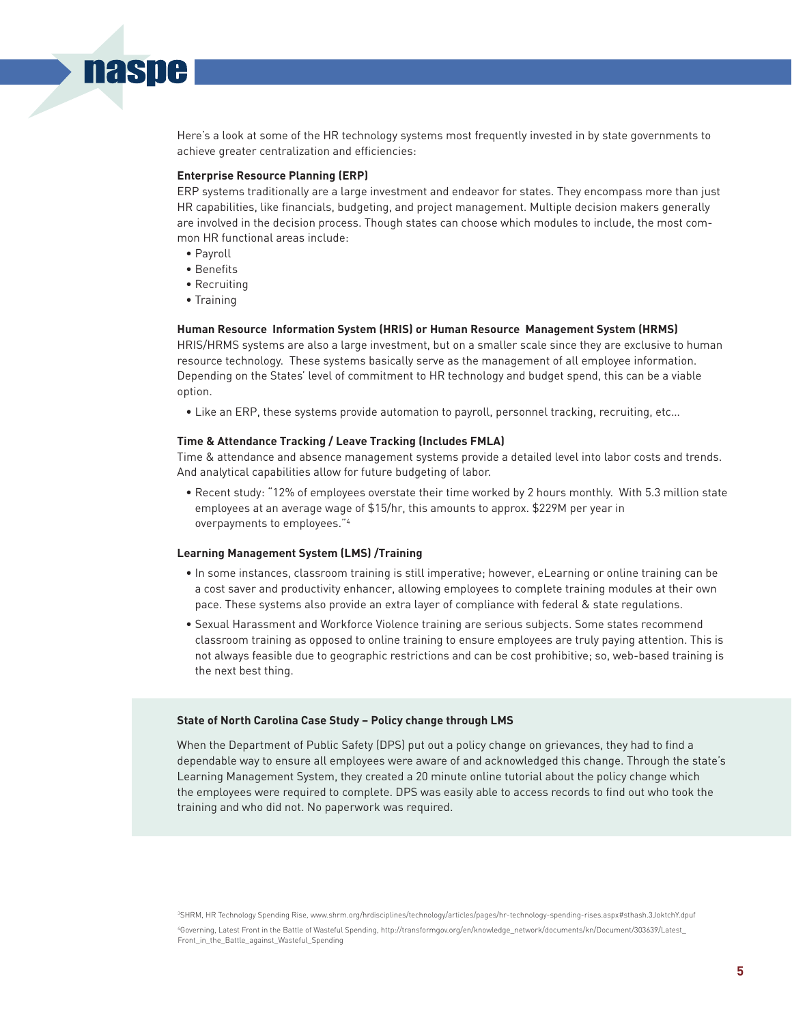Here's a look at some of the HR technology systems most frequently invested in by state governments to achieve greater centralization and efficiencies:

#### **Enterprise Resource Planning (ERP)**

ERP systems traditionally are a large investment and endeavor for states. They encompass more than just HR capabilities, like financials, budgeting, and project management. Multiple decision makers generally are involved in the decision process. Though states can choose which modules to include, the most common HR functional areas include:

• Payroll

**nasne** 

- Benefits
- Recruiting
- Training

#### **Human Resource Information System (HRIS) or Human Resource Management System (HRMS)**

HRIS/HRMS systems are also a large investment, but on a smaller scale since they are exclusive to human resource technology. These systems basically serve as the management of all employee information. Depending on the States' level of commitment to HR technology and budget spend, this can be a viable option.

• Like an ERP, these systems provide automation to payroll, personnel tracking, recruiting, etc…

#### **Time & Attendance Tracking / Leave Tracking (Includes FMLA)**

Time & attendance and absence management systems provide a detailed level into labor costs and trends. And analytical capabilities allow for future budgeting of labor.

 • Recent study: "12% of employees overstate their time worked by 2 hours monthly. With 5.3 million state employees at an average wage of \$15/hr, this amounts to approx. \$229M per year in overpayments to employees."4

#### **Learning Management System (LMS) /Training**

- In some instances, classroom training is still imperative; however, eLearning or online training can be a cost saver and productivity enhancer, allowing employees to complete training modules at their own pace. These systems also provide an extra layer of compliance with federal & state regulations.
- Sexual Harassment and Workforce Violence training are serious subjects. Some states recommend classroom training as opposed to online training to ensure employees are truly paying attention. This is not always feasible due to geographic restrictions and can be cost prohibitive; so, web-based training is the next best thing.

#### **State of North Carolina Case Study – Policy change through LMS**

When the Department of Public Safety (DPS) put out a policy change on grievances, they had to find a dependable way to ensure all employees were aware of and acknowledged this change. Through the state's Learning Management System, they created a 20 minute online tutorial about the policy change which the employees were required to complete. DPS was easily able to access records to find out who took the training and who did not. No paperwork was required.

3SHRM, HR Technology Spending Rise, www.shrm.org/hrdisciplines/technology/articles/pages/hr-technology-spending-rises.aspx#sthash.3JoktchY.dpuf 4 Governing, Latest Front in the Battle of Wasteful Spending, http://transformgov.org/en/knowledge\_network/documents/kn/Document/303639/Latest\_ Front in the Battle against Wasteful Spending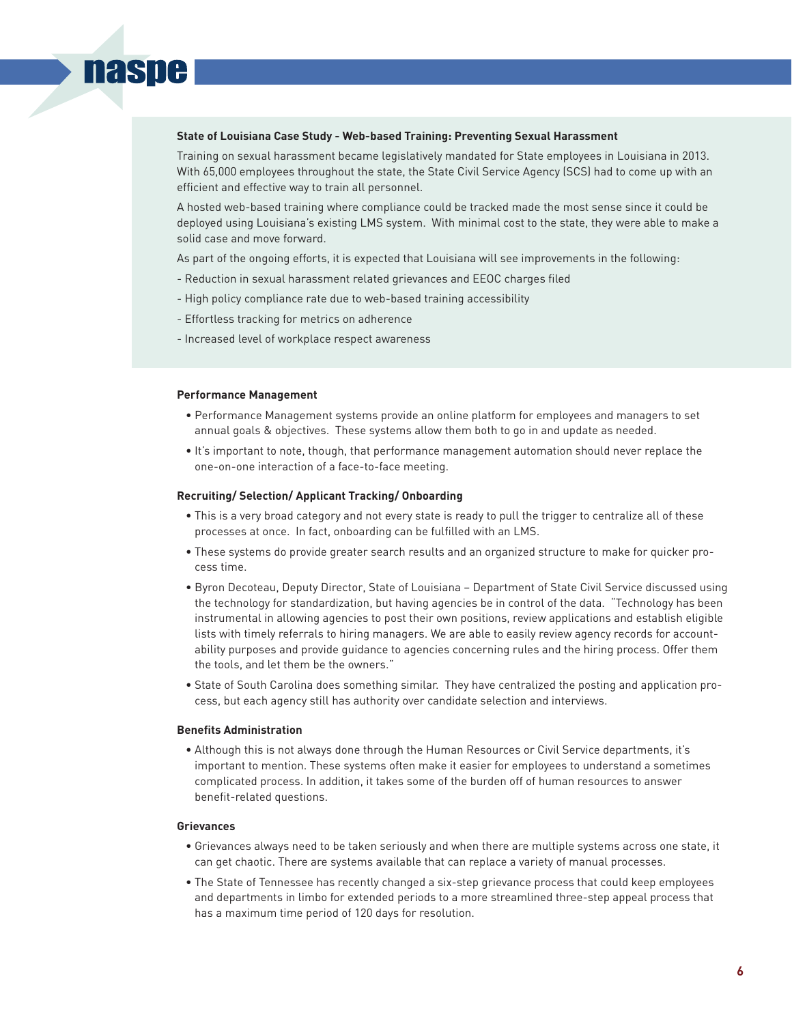#### **State of Louisiana Case Study - Web-based Training: Preventing Sexual Harassment**

Training on sexual harassment became legislatively mandated for State employees in Louisiana in 2013. With 65,000 employees throughout the state, the State Civil Service Agency (SCS) had to come up with an efficient and effective way to train all personnel.

A hosted web-based training where compliance could be tracked made the most sense since it could be deployed using Louisiana's existing LMS system. With minimal cost to the state, they were able to make a solid case and move forward.

As part of the ongoing efforts, it is expected that Louisiana will see improvements in the following:

- Reduction in sexual harassment related grievances and EEOC charges filed
- High policy compliance rate due to web-based training accessibility
- Effortless tracking for metrics on adherence
- Increased level of workplace respect awareness

#### **Performance Management**

**naspe** 

- Performance Management systems provide an online platform for employees and managers to set annual goals & objectives. These systems allow them both to go in and update as needed.
- It's important to note, though, that performance management automation should never replace the one-on-one interaction of a face-to-face meeting.

#### **Recruiting/ Selection/ Applicant Tracking/ Onboarding**

- This is a very broad category and not every state is ready to pull the trigger to centralize all of these processes at once. In fact, onboarding can be fulfilled with an LMS.
- These systems do provide greater search results and an organized structure to make for quicker process time.
- Byron Decoteau, Deputy Director, State of Louisiana Department of State Civil Service discussed using the technology for standardization, but having agencies be in control of the data. "Technology has been instrumental in allowing agencies to post their own positions, review applications and establish eligible lists with timely referrals to hiring managers. We are able to easily review agency records for accountability purposes and provide guidance to agencies concerning rules and the hiring process. Offer them the tools, and let them be the owners."
- State of South Carolina does something similar. They have centralized the posting and application process, but each agency still has authority over candidate selection and interviews.

#### **Benefits Administration**

 • Although this is not always done through the Human Resources or Civil Service departments, it's important to mention. These systems often make it easier for employees to understand a sometimes complicated process. In addition, it takes some of the burden off of human resources to answer benefit-related questions.

#### **Grievances**

- Grievances always need to be taken seriously and when there are multiple systems across one state, it can get chaotic. There are systems available that can replace a variety of manual processes.
- The State of Tennessee has recently changed a six-step grievance process that could keep employees and departments in limbo for extended periods to a more streamlined three-step appeal process that has a maximum time period of 120 days for resolution.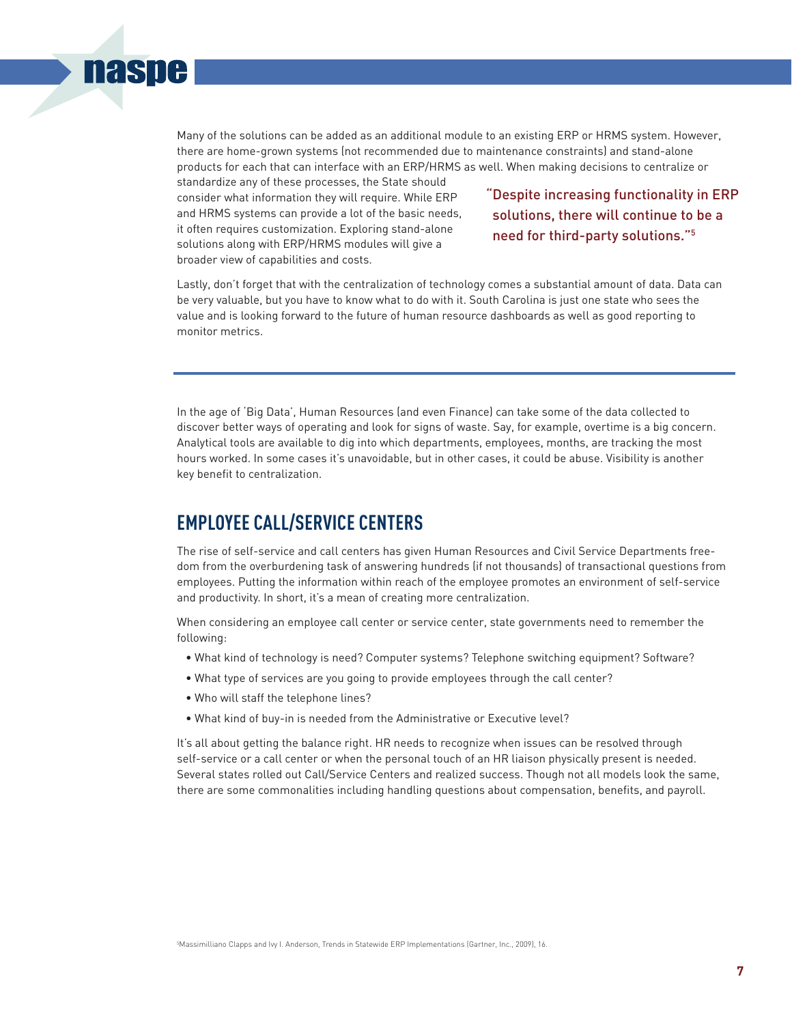

Many of the solutions can be added as an additional module to an existing ERP or HRMS system. However, there are home-grown systems (not recommended due to maintenance constraints) and stand-alone products for each that can interface with an ERP/HRMS as well. When making decisions to centralize or

standardize any of these processes, the State should consider what information they will require. While ERP and HRMS systems can provide a lot of the basic needs, it often requires customization. Exploring stand-alone solutions along with ERP/HRMS modules will give a broader view of capabilities and costs.

"Despite increasing functionality in ERP solutions, there will continue to be a need for third-party solutions."5

Lastly, don't forget that with the centralization of technology comes a substantial amount of data. Data can be very valuable, but you have to know what to do with it. South Carolina is just one state who sees the value and is looking forward to the future of human resource dashboards as well as good reporting to monitor metrics.

In the age of 'Big Data', Human Resources (and even Finance) can take some of the data collected to discover better ways of operating and look for signs of waste. Say, for example, overtime is a big concern. Analytical tools are available to dig into which departments, employees, months, are tracking the most hours worked. In some cases it's unavoidable, but in other cases, it could be abuse. Visibility is another key benefit to centralization.

## **EMPLOYEE CALL/SERVICE CENTERS**

The rise of self-service and call centers has given Human Resources and Civil Service Departments freedom from the overburdening task of answering hundreds (if not thousands) of transactional questions from employees. Putting the information within reach of the employee promotes an environment of self-service and productivity. In short, it's a mean of creating more centralization.

When considering an employee call center or service center, state governments need to remember the following:

- What kind of technology is need? Computer systems? Telephone switching equipment? Software?
- What type of services are you going to provide employees through the call center?
- Who will staff the telephone lines?
- What kind of buy-in is needed from the Administrative or Executive level?

It's all about getting the balance right. HR needs to recognize when issues can be resolved through self-service or a call center or when the personal touch of an HR liaison physically present is needed. Several states rolled out Call/Service Centers and realized success. Though not all models look the same, there are some commonalities including handling questions about compensation, benefits, and payroll.